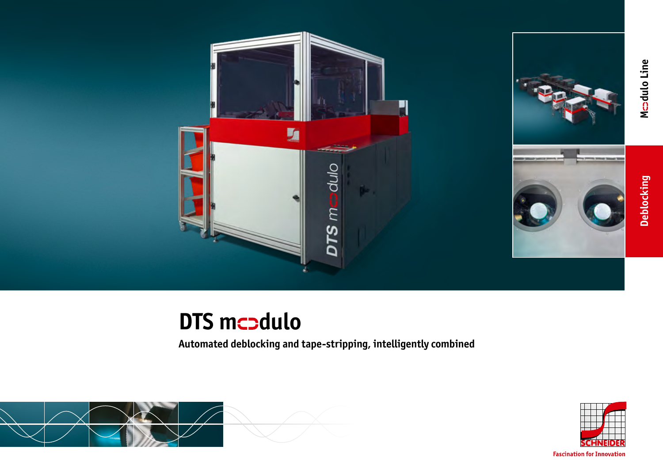

# **DTS mcodulo**

**Automated deblocking and tape-stripping, intelligently combined**





**Fascination for Innovation**